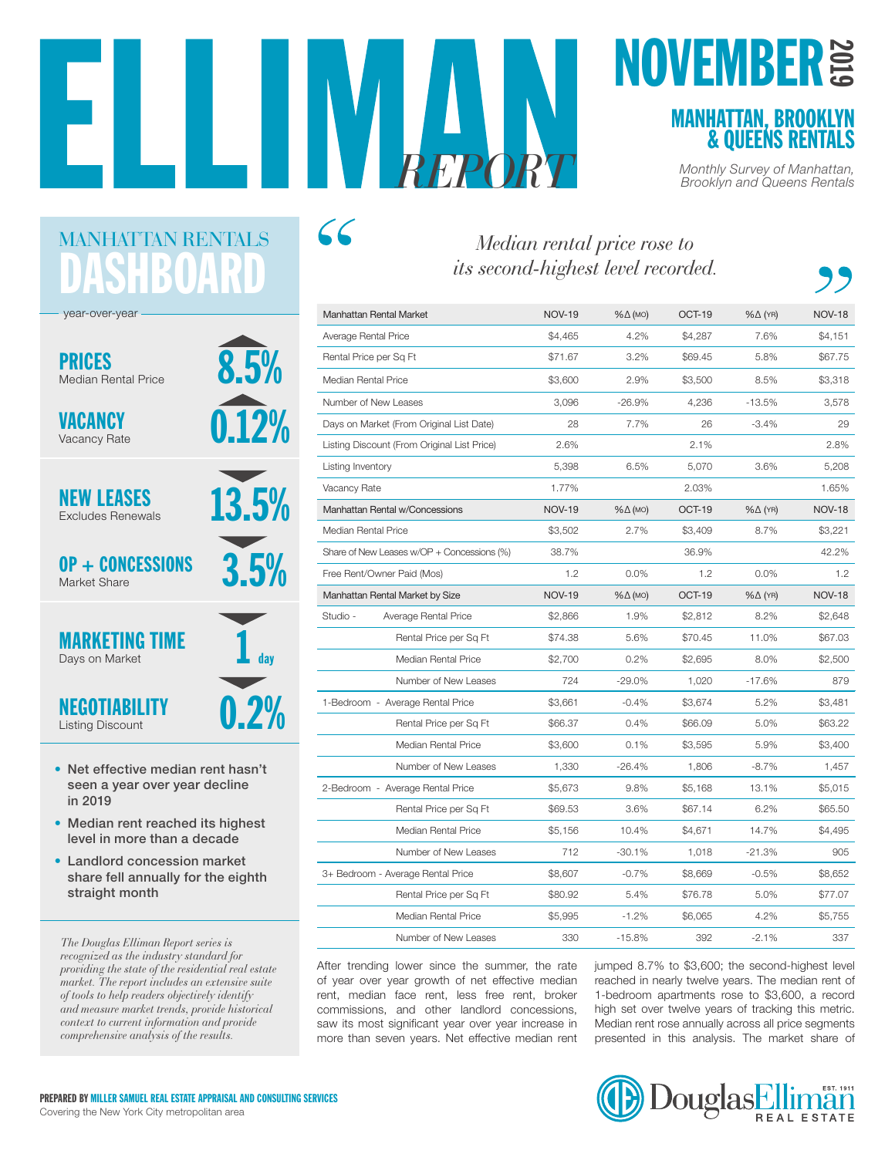8.5%

0.12%

13.5%

3.5%

 $\mathbf 1$  day

# **MOVEMBER**<br> **EXAMPLE THE NOVEMBER SENS RENTALS**

*REPORT Monthly Survey of Manhattan, Brooklyn and Queens Rentals*

| its second-highest level recorded.          |               |          |         |                    |               |  |
|---------------------------------------------|---------------|----------|---------|--------------------|---------------|--|
| <b>Manhattan Rental Market</b>              | <b>NOV-19</b> | %∆ (мо)  | OCT-19  | $% \triangle (YR)$ | <b>NOV-18</b> |  |
| Average Rental Price                        | \$4,465       | 4.2%     | \$4,287 | 7.6%               | \$4,151       |  |
| Rental Price per Sq Ft                      | \$71.67       | 3.2%     | \$69.45 | 5.8%               | \$67.75       |  |
| Median Rental Price                         | \$3,600       | 2.9%     | \$3,500 | 8.5%               | \$3,318       |  |
| Number of New Leases                        | 3,096         | $-26.9%$ | 4,236   | $-13.5%$           | 3,578         |  |
| Days on Market (From Original List Date)    | 28            | 7.7%     | 26      | $-3.4%$            | 29            |  |
| Listing Discount (From Original List Price) | 2.6%          |          | 2.1%    |                    | 2.8%          |  |
| Listing Inventory                           | 5,398         | 6.5%     | 5,070   | 3.6%               | 5,208         |  |
| Vacancy Rate                                | 1.77%         |          | 2.03%   |                    | 1.65%         |  |
| Manhattan Rental w/Concessions              | <b>NOV-19</b> | %∆ (мо)  | OCT-19  | $% \triangle (YR)$ | <b>NOV-18</b> |  |
| Median Rental Price                         | \$3,502       | 2.7%     | \$3,409 | 8.7%               | \$3,221       |  |
| Share of New Leases w/OP + Concessions (%)  | 38.7%         |          | 36.9%   |                    | 42.2%         |  |
| Free Rent/Owner Paid (Mos)                  | 1.2           | 0.0%     | 1.2     | 0.0%               | 1.2           |  |
| Manhattan Rental Market by Size             | <b>NOV-19</b> | %∆ (мо)  | OCT-19  | $% \triangle (YR)$ | <b>NOV-18</b> |  |
| Studio -<br>Average Rental Price            | \$2,866       | 1.9%     | \$2,812 | 8.2%               | \$2,648       |  |
| Rental Price per Sq Ft                      | \$74.38       | 5.6%     | \$70.45 | 11.0%              | \$67.03       |  |
| Median Rental Price                         | \$2,700       | 0.2%     | \$2,695 | 8.0%               | \$2,500       |  |
| Number of New Leases                        | 724           | $-29.0%$ | 1,020   | $-17.6%$           | 879           |  |
| 1-Bedroom - Average Rental Price            | \$3,661       | $-0.4%$  | \$3,674 | 5.2%               | \$3,481       |  |
| Rental Price per Sq Ft                      | \$66.37       | 0.4%     | \$66.09 | 5.0%               | \$63.22       |  |
| Median Rental Price                         | \$3,600       | 0.1%     | \$3.595 | 5.9%               | \$3,400       |  |
| Number of New Leases                        | 1,330         | $-26.4%$ | 1,806   | $-8.7%$            | 1,457         |  |
| 2-Bedroom - Average Rental Price            | \$5,673       | 9.8%     | \$5,168 | 13.1%              | \$5,015       |  |
| Rental Price per Sq Ft                      | \$69.53       | 3.6%     | \$67.14 | 6.2%               | \$65.50       |  |
| Median Rental Price                         | \$5,156       | 10.4%    | \$4,671 | 14.7%              | \$4,495       |  |
| Number of New Leases                        | 712           | $-30.1%$ | 1,018   | $-21.3%$           | 905           |  |
| 3+ Bedroom - Average Rental Price           | \$8,607       | $-0.7%$  | \$8.669 | $-0.5%$            | \$8,652       |  |
|                                             |               |          |         |                    |               |  |
| Rental Price per Sq Ft                      | \$80.92       | 5.4%     | \$76.78 | 5.0%               | \$77.07       |  |

After trending lower since the summer, the rate of year over year growth of net effective median rent, median face rent, less free rent, broker commissions, and other landlord concessions, saw its most significant year over year increase in more than seven years. Net effective median rent jumped 8.7% to \$3,600; the second-highest level reached in nearly twelve years. The median rent of 1-bedroom apartments rose to \$3,600, a record high set over twelve years of tracking this metric. Median rent rose annually across all price segments presented in this analysis. The market share of



year-over-year

ASHBOAI

MANHATTAN RENTALS

PRICES Median Rental Price

VACANCY Vacancy Rate

NEW LEASES Excludes Renewals

OP + CONCESSIONS Market Share

## 0.2% MARKETING TIME Days on Market

NEGOTIABILITY Listing Discount

- Net effective median rent hasn't seen a year over year decline in 2019
- Median rent reached its highest level in more than a decade
- Landlord concession market share fell annually for the eighth straight month

*The Douglas Elliman Report series is recognized as the industry standard for providing the state of the residential real estate market. The report includes an extensive suite of tools to help readers objectively identify and measure market trends, provide historical context to current information and provide comprehensive analysis of the results.*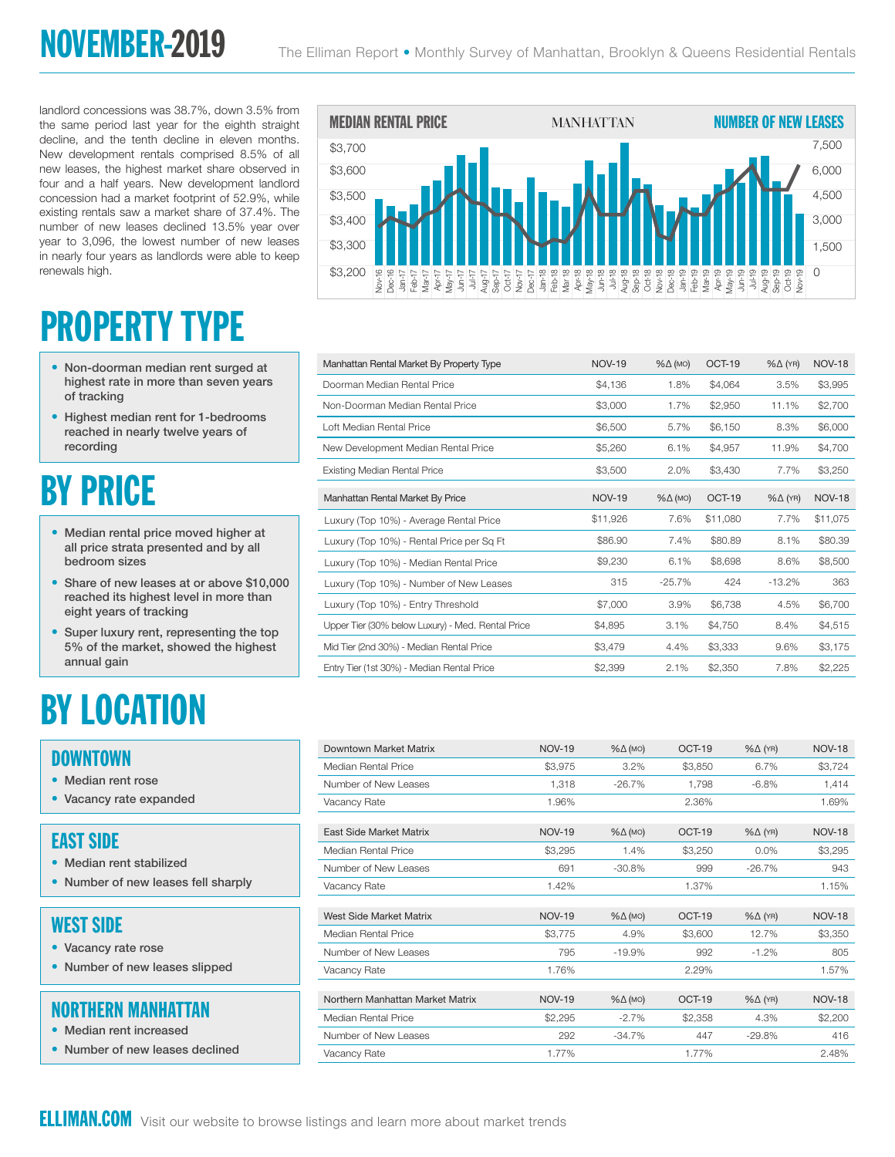landlord concessions was 38.7%, down 3.5% from the same period last year for the eighth straight decline, and the tenth decline in eleven months. New development rentals comprised 8.5% of all new leases, the highest market share observed in four and a half years. New development landlord concession had a market footprint of 52.9%, while existing rentals saw a market share of 37.4%. The number of new leases declined 13.5% year over year to 3,096, the lowest number of new leases in nearly four years as landlords were able to keep renewals high.

# PROPERTY TYPE

- Non-doorman median rent surged at highest rate in more than seven years of tracking
- Highest median rent for 1-bedrooms reached in nearly twelve years of recording

## BY PRICE

- Median rental price moved higher at all price strata presented and by all bedroom sizes
- Share of new leases at or above \$10,000 reached its highest level in more than eight years of tracking
- Super luxury rent, representing the top 5% of the market, showed the highest annual gain

## BY LOCATION

#### **DOWNTOWN**

- Median rent rose
- Vacancy rate expanded

#### EAST SIDE

- Median rent stabilized
- Number of new leases fell sharply

#### WEST SIDE

- Vacancy rate rose
- Number of new leases slipped

#### NORTHERN MANHATTAN

- Median rent increased
- Number of new leases declined



| \$3,200<br>Nov-16<br>Dec-16                       |               |                    |          | $\sqrt{8}-19$      | $\cup$        |
|---------------------------------------------------|---------------|--------------------|----------|--------------------|---------------|
|                                                   |               |                    |          |                    |               |
| Manhattan Rental Market By Property Type          | <b>NOV-19</b> | $% \triangle (MO)$ | OCT-19   | $% \triangle (YR)$ | <b>NOV-18</b> |
| Doorman Median Rental Price                       | \$4,136       | 1.8%               | \$4.064  | 3.5%               | \$3.995       |
| Non-Doorman Median Rental Price                   | \$3,000       | 1.7%               | \$2,950  | 11.1%              | \$2,700       |
| Loft Median Rental Price                          | \$6,500       | 5.7%               | \$6,150  | 8.3%               | \$6,000       |
| New Development Median Rental Price               | \$5,260       | 6.1%               | \$4,957  | 11.9%              | \$4,700       |
| <b>Existing Median Rental Price</b>               | \$3,500       | 2.0%               | \$3,430  | 7.7%               | \$3,250       |
| Manhattan Rental Market By Price                  | <b>NOV-19</b> | $% \triangle (MO)$ | OCT-19   | $% \triangle (YR)$ | <b>NOV-18</b> |
| Luxury (Top 10%) - Average Rental Price           | \$11,926      | 7.6%               | \$11,080 | 7.7%               | \$11,075      |
| Luxury (Top 10%) - Rental Price per Sq Ft         | \$86.90       | 7.4%               | \$80.89  | 8.1%               | \$80.39       |
| Luxury (Top 10%) - Median Rental Price            | \$9,230       | 6.1%               | \$8,698  | 8.6%               | \$8,500       |
| Luxury (Top 10%) - Number of New Leases           | 315           | $-25.7%$           | 424      | $-13.2%$           | 363           |
| Luxury (Top 10%) - Entry Threshold                | \$7,000       | 3.9%               | \$6.738  | 4.5%               | \$6,700       |
| Upper Tier (30% below Luxury) - Med. Rental Price | \$4,895       | 3.1%               | \$4,750  | 8.4%               | \$4,515       |
| Mid Tier (2nd 30%) - Median Rental Price          | \$3.479       | 4.4%               | \$3,333  | 9.6%               | \$3,175       |
| Entry Tier (1st 30%) - Median Rental Price        | \$2,399       | 2.1%               | \$2,350  | 7.8%               | \$2,225       |
|                                                   |               |                    |          |                    |               |

| Downtown Market Matrix           | <b>NOV-19</b> | $% \triangle (MO)$ | OCT-19  | $% \triangle (YR)$ | <b>NOV-18</b> |
|----------------------------------|---------------|--------------------|---------|--------------------|---------------|
| Median Rental Price              | \$3,975       | 3.2%               | \$3,850 | 6.7%               | \$3,724       |
| Number of New Leases             | 1,318         | $-26.7%$           | 1,798   | $-6.8%$            | 1,414         |
| Vacancy Rate                     | 1.96%         |                    | 2.36%   |                    | 1.69%         |
|                                  |               |                    |         |                    |               |
| East Side Market Matrix          | <b>NOV-19</b> | $% \triangle (MO)$ | OCT-19  | $% \triangle (YR)$ | <b>NOV-18</b> |
| Median Rental Price              | \$3,295       | 1.4%               | \$3,250 | 0.0%               | \$3,295       |
| Number of New Leases             | 691           | $-30.8%$           | 999     | $-26.7%$           | 943           |
| Vacancy Rate                     | 1.42%         |                    | 1.37%   |                    | 1.15%         |
|                                  |               |                    |         |                    |               |
| West Side Market Matrix          | <b>NOV-19</b> | $% \triangle (MO)$ | OCT-19  | $% \triangle (YR)$ | <b>NOV-18</b> |
| Median Rental Price              | \$3,775       | 4.9%               | \$3,600 | 12.7%              | \$3,350       |
| Number of New Leases             | 795           | $-19.9%$           | 992     | $-1.2%$            | 805           |
| Vacancy Rate                     | 1.76%         |                    | 2.29%   |                    | 1.57%         |
|                                  |               |                    |         |                    |               |
| Northern Manhattan Market Matrix | <b>NOV-19</b> | $\% \Delta$ (MO)   | OCT-19  | $% \triangle (YR)$ | <b>NOV-18</b> |
| Median Rental Price              | \$2,295       | $-2.7%$            | \$2,358 | 4.3%               | \$2,200       |
| Number of New Leases             | 292           | $-34.7%$           | 447     | $-29.8%$           | 416           |
| Vacancy Rate                     | 1.77%         |                    | 1.77%   |                    | 2.48%         |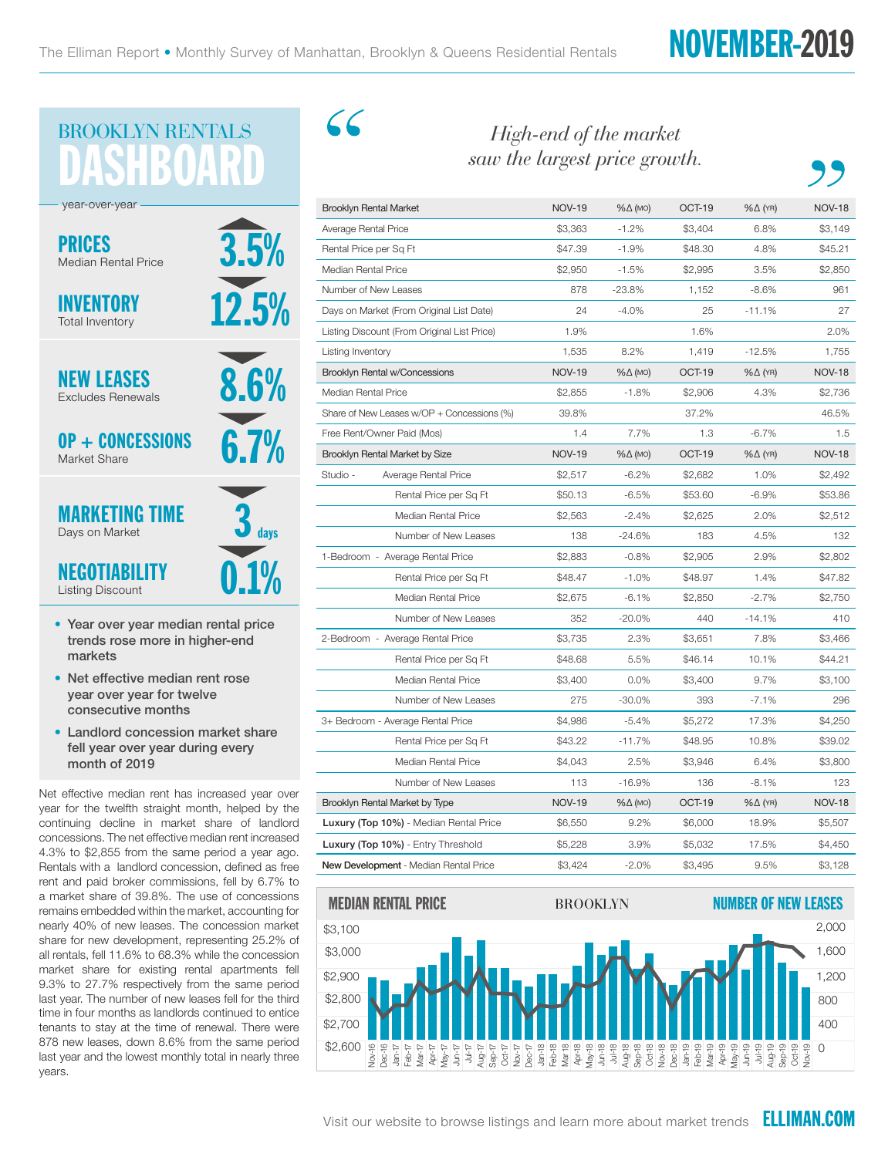## NOVEMBER-2019



- Year over year median rental price trends rose more in higher-end markets
- Net effective median rent rose year over year for twelve consecutive months
- Landlord concession market share fell year over year during every month of 2019

Net effective median rent has increased year over year for the twelfth straight month, helped by the continuing decline in market share of landlord concessions. The net effective median rent increased 4.3% to \$2,855 from the same period a year ago. Rentals with a landlord concession, defined as free rent and paid broker commissions, fell by 6.7% to a market share of 39.8%. The use of concessions remains embedded within the market, accounting for nearly 40% of new leases. The concession market share for new development, representing 25.2% of all rentals, fell 11.6% to 68.3% while the concession market share for existing rental apartments fell 9.3% to 27.7% respectively from the same period last year. The number of new leases fell for the third time in four months as landlords continued to entice tenants to stay at the time of renewal. There were 878 new leases, down 8.6% from the same period last year and the lowest monthly total in nearly three years.

C C

#### *High-end of the market saw the largest price growth.*

| <b>Brooklyn Rental Market</b>               | <b>NOV-19</b>   | %∆ (мо)            | OCT-19                      | $% \triangle (YR)$ | <b>NOV-18</b> |  |
|---------------------------------------------|-----------------|--------------------|-----------------------------|--------------------|---------------|--|
| Average Rental Price                        | \$3,363         | $-1.2%$            | \$3,404                     | 6.8%               | \$3,149       |  |
|                                             | \$47.39         | $-1.9%$            | \$48.30                     | 4.8%               | \$45.21       |  |
| Rental Price per Sq Ft                      |                 |                    |                             |                    |               |  |
| Median Rental Price                         | \$2,950         | $-1.5%$            | \$2,995                     | 3.5%               | \$2,850       |  |
| Number of New Leases                        | 878             | $-23.8%$           | 1,152                       | $-8.6%$            | 961           |  |
| Days on Market (From Original List Date)    | 24              | $-4.0%$            | 25                          | $-11.1%$           | 27            |  |
| Listing Discount (From Original List Price) | 1.9%            |                    | 1.6%                        |                    | 2.0%          |  |
| Listing Inventory                           | 1,535           | 8.2%               | 1,419                       | $-12.5%$           | 1,755         |  |
| <b>Brooklyn Rental w/Concessions</b>        | <b>NOV-19</b>   | $% \triangle (MO)$ | OCT-19                      | $% \triangle (YR)$ | <b>NOV-18</b> |  |
| Median Rental Price                         | \$2,855         | $-1.8%$            | \$2,906                     | 4.3%               | \$2,736       |  |
| Share of New Leases w/OP + Concessions (%)  | 39.8%           |                    | 37.2%                       |                    | 46.5%         |  |
| Free Rent/Owner Paid (Mos)                  | 1.4             | 7.7%               | 1.3                         | $-6.7%$            | 1.5           |  |
| Brooklyn Rental Market by Size              | <b>NOV-19</b>   | $% \triangle (MO)$ | OCT-19                      | $% \triangle (YR)$ | <b>NOV-18</b> |  |
| Studio -<br>Average Rental Price            | \$2,517         | $-6.2%$            | \$2.682                     | 1.0%               | \$2,492       |  |
| Rental Price per Sq Ft                      | \$50.13         | $-6.5%$            | \$53.60                     | $-6.9%$            | \$53.86       |  |
| Median Rental Price                         | \$2,563         | $-2.4%$            | \$2,625                     | 2.0%               | \$2,512       |  |
| Number of New Leases                        | 138             | $-24.6%$           | 183                         | 4.5%               | 132           |  |
| 1-Bedroom - Average Rental Price            | \$2,883         | $-0.8%$            | \$2,905                     | 2.9%               | \$2,802       |  |
| Rental Price per Sq Ft                      | \$48.47         | $-1.0%$            | \$48.97                     | 1.4%               | \$47.82       |  |
| <b>Median Rental Price</b>                  | \$2,675         | $-6.1%$            | \$2,850                     | $-2.7%$            | \$2,750       |  |
| Number of New Leases                        | 352             | $-20.0%$           | 440                         | $-14.1%$           | 410           |  |
| 2-Bedroom - Average Rental Price            | \$3,735         | 2.3%               | \$3,651                     | 7.8%               | \$3,466       |  |
| Rental Price per Sq Ft                      | \$48.68         | 5.5%               | \$46.14                     | 10.1%              | \$44.21       |  |
| <b>Median Rental Price</b>                  | \$3,400         | 0.0%               | \$3,400                     | 9.7%               | \$3.100       |  |
| Number of New Leases                        | 275             | $-30.0%$           | 393                         | $-7.1%$            | 296           |  |
| 3+ Bedroom - Average Rental Price           | \$4,986         | $-5.4%$            | \$5,272                     | 17.3%              | \$4,250       |  |
| Rental Price per Sq Ft                      | \$43.22         | $-11.7%$           | \$48.95                     | 10.8%              | \$39.02       |  |
| <b>Median Rental Price</b>                  | \$4,043         | 2.5%               | \$3,946                     | 6.4%               | \$3,800       |  |
| Number of New Leases                        | 113             | $-16.9%$           | 136                         | $-8.1%$            | 123           |  |
| Brooklyn Rental Market by Type              | <b>NOV-19</b>   | $% \triangle (MO)$ | OCT-19                      | $% \triangle (YR)$ | <b>NOV-18</b> |  |
| Luxury (Top 10%) - Median Rental Price      | \$6,550         | 9.2%               | \$6,000                     | 18.9%              | \$5,507       |  |
| Luxury (Top 10%) - Entry Threshold          | \$5,228         | 3.9%               | \$5,032                     | 17.5%              | \$4,450       |  |
| New Development - Median Rental Price       | \$3,424         | $-2.0%$            | \$3,495                     | 9.5%               | \$3,128       |  |
| MEDIAN RENTAL PRICE                         | <b>BROOKLYN</b> |                    | <b>NUMBER OF NEW LEASES</b> |                    |               |  |